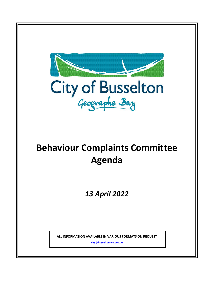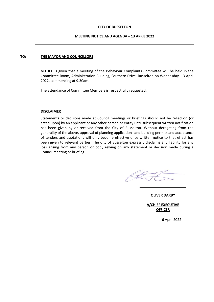#### **CITY OF BUSSELTON**

#### **MEETING NOTICE AND AGENDA – 13 APRIL 2022**

#### **TO: THE MAYOR AND COUNCILLORS**

**NOTICE** is given that a meeting of the Behaviour Complaints Committee will be held in the Committee Room, Administration Building, Southern Drive, Busselton on Wednesday, 13 April 2022, commencing at 9.30am.

The attendance of Committee Members is respectfully requested.

#### **DISCLAIMER**

Statements or decisions made at Council meetings or briefings should not be relied on (or acted upon) by an applicant or any other person or entity until subsequent written notification has been given by or received from the City of Busselton. Without derogating from the generality of the above, approval of planning applications and building permits and acceptance of tenders and quotations will only become effective once written notice to that effect has been given to relevant parties. The City of Busselton expressly disclaims any liability for any loss arising from any person or body relying on any statement or decision made during a Council meeting or briefing.

**OLIVER DARBY** 

**A/CHIEF EXECUTIVE OFFICER**

6 April 2022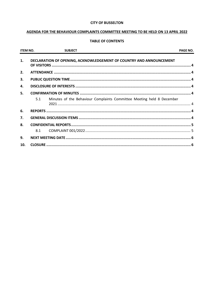#### **CITY OF BUSSELTON**

## AGENDA FOR THE BEHAVIOUR COMPLAINTS COMMITTEE MEETING TO BE HELD ON 13 APRIL 2022

## **TABLE OF CONTENTS**

| <b>ITEM NO.</b> | <b>SUBJECT</b>                                                               | <b>PAGE NO.</b> |
|-----------------|------------------------------------------------------------------------------|-----------------|
| 1.              | DECLARATION OF OPENING, ACKNOWLEDGEMENT OF COUNTRY AND ANNOUNCEMENT          |                 |
| 2.              |                                                                              |                 |
| 3.              |                                                                              |                 |
| 4.              |                                                                              |                 |
| 5.              | 5.1<br>Minutes of the Behaviour Complaints Committee Meeting held 8 December |                 |
|                 |                                                                              |                 |
| 6.              |                                                                              |                 |
| 7.              |                                                                              |                 |
| 8.              |                                                                              |                 |
|                 | 8.1                                                                          |                 |
| 9.              |                                                                              |                 |
| 10.             |                                                                              |                 |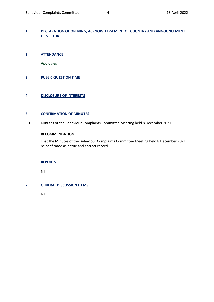## <span id="page-3-0"></span>**1. DECLARATION OF OPENING, ACKNOWLEDGEMENT OF COUNTRY AND ANNOUNCEMENT OF VISITORS**

<span id="page-3-1"></span>**2. ATTENDANCE**

**Apologies**

<span id="page-3-2"></span>**3. PUBLIC QUESTION TIME**

## <span id="page-3-3"></span>**4. DISCLOSURE OF INTERESTS**

#### <span id="page-3-4"></span>**5. CONFIRMATION OF MINUTES**

<span id="page-3-5"></span>5.1 Minutes of the Behaviour Complaints Committee Meeting held 8 December 2021

## **RECOMMENDATION**

That the Minutes of the Behaviour Complaints Committee Meeting held 8 December 2021 be confirmed as a true and correct record.

#### <span id="page-3-6"></span>**6. REPORTS**

Nil

## <span id="page-3-7"></span>**7. GENERAL DISCUSSION ITEMS**

Nil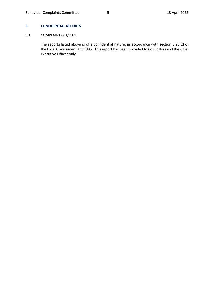## <span id="page-4-0"></span>**8. CONFIDENTIAL REPORTS**

## <span id="page-4-1"></span>8.1 COMPLAINT 001/2022

The reports listed above is of a confidential nature, in accordance with section 5.23(2) of the Local Government Act 1995. This report has been provided to Councillors and the Chief Executive Officer only.